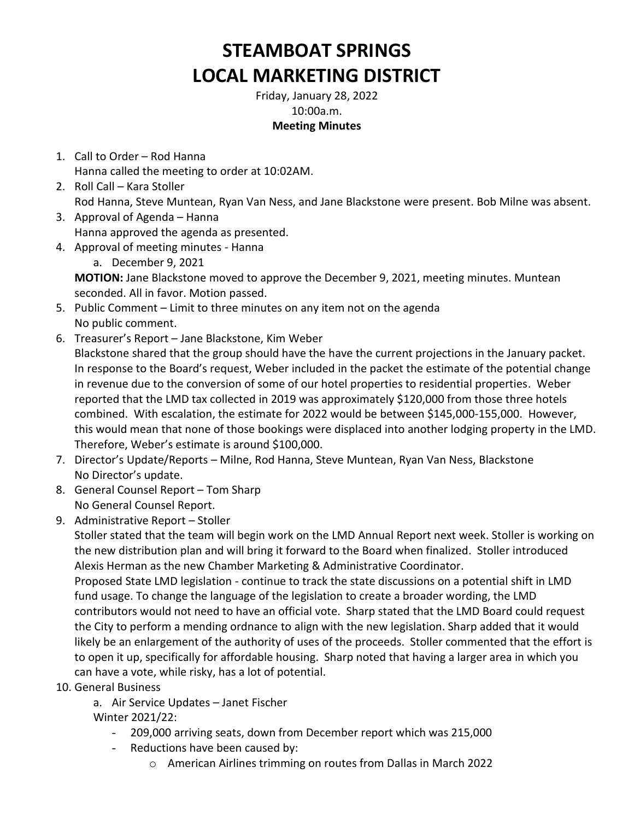## **STEAMBOAT SPRINGS LOCAL MARKETING DISTRICT**

Friday, January 28, 2022 10:00a.m. **Meeting Minutes**

- 1. Call to Order Rod Hanna Hanna called the meeting to order at 10:02AM.
- 2. Roll Call Kara Stoller Rod Hanna, Steve Muntean, Ryan Van Ness, and Jane Blackstone were present. Bob Milne was absent.
- 3. Approval of Agenda Hanna Hanna approved the agenda as presented.
- 4. Approval of meeting minutes Hanna
	- a. December 9, 2021

**MOTION:** Jane Blackstone moved to approve the December 9, 2021, meeting minutes. Muntean seconded. All in favor. Motion passed.

- 5. Public Comment Limit to three minutes on any item not on the agenda No public comment.
- 6. Treasurer's Report Jane Blackstone, Kim Weber

Blackstone shared that the group should have the have the current projections in the January packet. In response to the Board's request, Weber included in the packet the estimate of the potential change in revenue due to the conversion of some of our hotel properties to residential properties. Weber reported that the LMD tax collected in 2019 was approximately \$120,000 from those three hotels combined. With escalation, the estimate for 2022 would be between \$145,000-155,000. However, this would mean that none of those bookings were displaced into another lodging property in the LMD. Therefore, Weber's estimate is around \$100,000.

- 7. Director's Update/Reports Milne, Rod Hanna, Steve Muntean, Ryan Van Ness, Blackstone No Director's update.
- 8. General Counsel Report Tom Sharp No General Counsel Report.
- 9. Administrative Report Stoller

Stoller stated that the team will begin work on the LMD Annual Report next week. Stoller is working on the new distribution plan and will bring it forward to the Board when finalized. Stoller introduced Alexis Herman as the new Chamber Marketing & Administrative Coordinator.

Proposed State LMD legislation - continue to track the state discussions on a potential shift in LMD fund usage. To change the language of the legislation to create a broader wording, the LMD contributors would not need to have an official vote. Sharp stated that the LMD Board could request the City to perform a mending ordnance to align with the new legislation. Sharp added that it would likely be an enlargement of the authority of uses of the proceeds. Stoller commented that the effort is to open it up, specifically for affordable housing. Sharp noted that having a larger area in which you can have a vote, while risky, has a lot of potential.

10. General Business

a. Air Service Updates – Janet Fischer Winter 2021/22:

- 209,000 arriving seats, down from December report which was 215,000
- Reductions have been caused by:
	- o American Airlines trimming on routes from Dallas in March 2022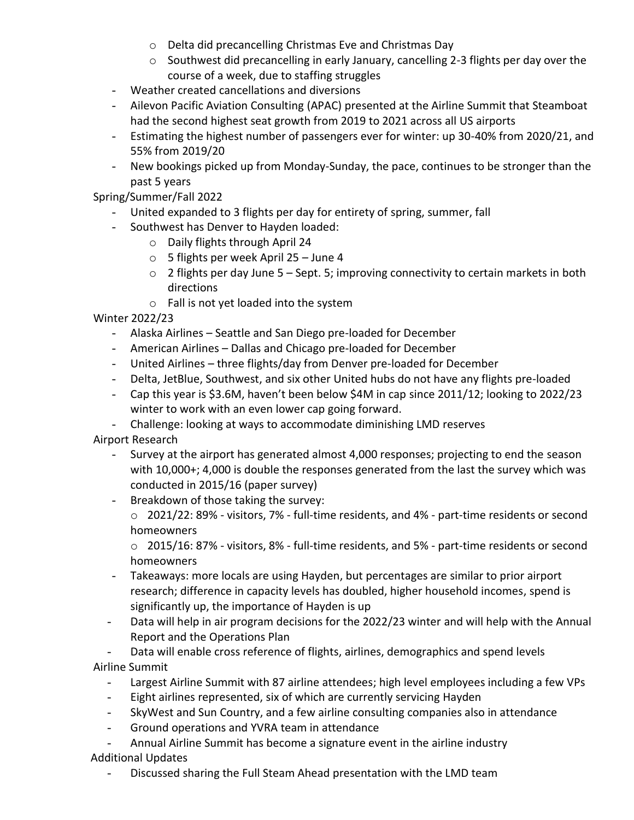- o Delta did precancelling Christmas Eve and Christmas Day
- $\circ$  Southwest did precancelling in early January, cancelling 2-3 flights per day over the course of a week, due to staffing struggles
- Weather created cancellations and diversions
- Ailevon Pacific Aviation Consulting (APAC) presented at the Airline Summit that Steamboat had the second highest seat growth from 2019 to 2021 across all US airports
- Estimating the highest number of passengers ever for winter: up 30-40% from 2020/21, and 55% from 2019/20
- New bookings picked up from Monday-Sunday, the pace, continues to be stronger than the past 5 years

Spring/Summer/Fall 2022

- United expanded to 3 flights per day for entirety of spring, summer, fall
- Southwest has Denver to Hayden loaded:
	- o Daily flights through April 24
	- o 5 flights per week April 25 June 4
	- $\circ$  2 flights per day June 5 Sept. 5; improving connectivity to certain markets in both directions
	- o Fall is not yet loaded into the system

Winter 2022/23

- Alaska Airlines Seattle and San Diego pre-loaded for December
- American Airlines Dallas and Chicago pre-loaded for December
- United Airlines three flights/day from Denver pre-loaded for December
- Delta, JetBlue, Southwest, and six other United hubs do not have any flights pre-loaded
- Cap this year is \$3.6M, haven't been below \$4M in cap since 2011/12; looking to 2022/23 winter to work with an even lower cap going forward.
- Challenge: looking at ways to accommodate diminishing LMD reserves

Airport Research

- Survey at the airport has generated almost 4,000 responses; projecting to end the season with 10,000+; 4,000 is double the responses generated from the last the survey which was conducted in 2015/16 (paper survey)
- Breakdown of those taking the survey:
	- $\circ$  2021/22: 89% visitors, 7% full-time residents, and 4% part-time residents or second homeowners

o 2015/16: 87% - visitors, 8% - full-time residents, and 5% - part-time residents or second homeowners

- Takeaways: more locals are using Hayden, but percentages are similar to prior airport research; difference in capacity levels has doubled, higher household incomes, spend is significantly up, the importance of Hayden is up
- Data will help in air program decisions for the 2022/23 winter and will help with the Annual Report and the Operations Plan
- Data will enable cross reference of flights, airlines, demographics and spend levels Airline Summit
	- Largest Airline Summit with 87 airline attendees; high level employees including a few VPs
	- Eight airlines represented, six of which are currently servicing Hayden
	- SkyWest and Sun Country, and a few airline consulting companies also in attendance
	- Ground operations and YVRA team in attendance

- Annual Airline Summit has become a signature event in the airline industry Additional Updates

- Discussed sharing the Full Steam Ahead presentation with the LMD team